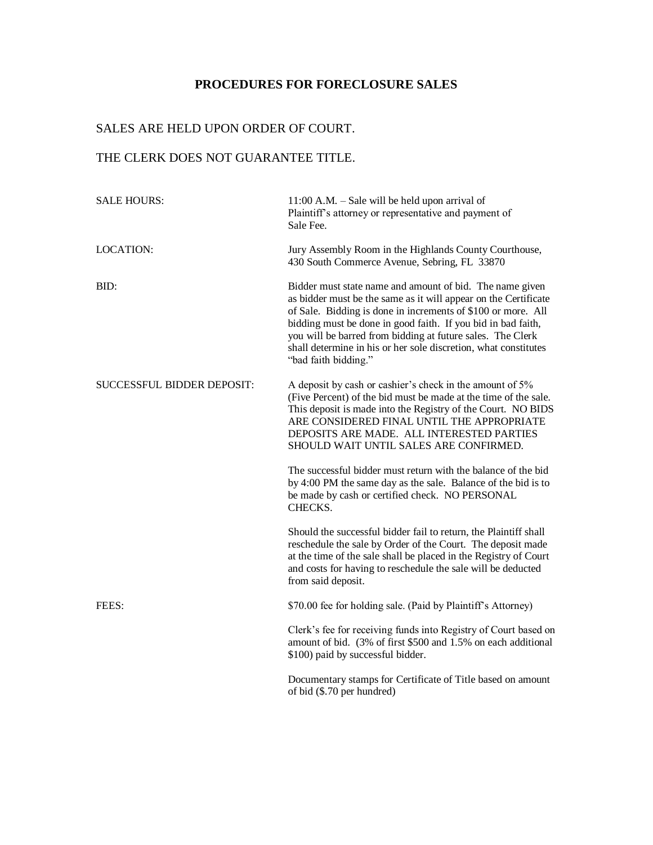### **PROCEDURES FOR FORECLOSURE SALES**

#### SALES ARE HELD UPON ORDER OF COURT.

### THE CLERK DOES NOT GUARANTEE TITLE.

| <b>SALE HOURS:</b>         | $11:00$ A.M. $-$ Sale will be held upon arrival of<br>Plaintiff's attorney or representative and payment of<br>Sale Fee.                                                                                                                                                                                                                                                                                             |
|----------------------------|----------------------------------------------------------------------------------------------------------------------------------------------------------------------------------------------------------------------------------------------------------------------------------------------------------------------------------------------------------------------------------------------------------------------|
| <b>LOCATION:</b>           | Jury Assembly Room in the Highlands County Courthouse,<br>430 South Commerce Avenue, Sebring, FL 33870                                                                                                                                                                                                                                                                                                               |
| BID:                       | Bidder must state name and amount of bid. The name given<br>as bidder must be the same as it will appear on the Certificate<br>of Sale. Bidding is done in increments of \$100 or more. All<br>bidding must be done in good faith. If you bid in bad faith,<br>you will be barred from bidding at future sales. The Clerk<br>shall determine in his or her sole discretion, what constitutes<br>"bad faith bidding." |
| SUCCESSFUL BIDDER DEPOSIT: | A deposit by cash or cashier's check in the amount of 5%<br>(Five Percent) of the bid must be made at the time of the sale.<br>This deposit is made into the Registry of the Court. NO BIDS<br>ARE CONSIDERED FINAL UNTIL THE APPROPRIATE<br>DEPOSITS ARE MADE. ALL INTERESTED PARTIES<br>SHOULD WAIT UNTIL SALES ARE CONFIRMED.                                                                                     |
|                            | The successful bidder must return with the balance of the bid<br>by 4:00 PM the same day as the sale. Balance of the bid is to<br>be made by cash or certified check. NO PERSONAL<br>CHECKS.                                                                                                                                                                                                                         |
|                            | Should the successful bidder fail to return, the Plaintiff shall<br>reschedule the sale by Order of the Court. The deposit made<br>at the time of the sale shall be placed in the Registry of Court<br>and costs for having to reschedule the sale will be deducted<br>from said deposit.                                                                                                                            |
| FEES:                      | \$70.00 fee for holding sale. (Paid by Plaintiff's Attorney)                                                                                                                                                                                                                                                                                                                                                         |
|                            | Clerk's fee for receiving funds into Registry of Court based on<br>amount of bid. (3% of first \$500 and 1.5% on each additional<br>\$100) paid by successful bidder.                                                                                                                                                                                                                                                |
|                            | Documentary stamps for Certificate of Title based on amount<br>of bid (\$.70 per hundred)                                                                                                                                                                                                                                                                                                                            |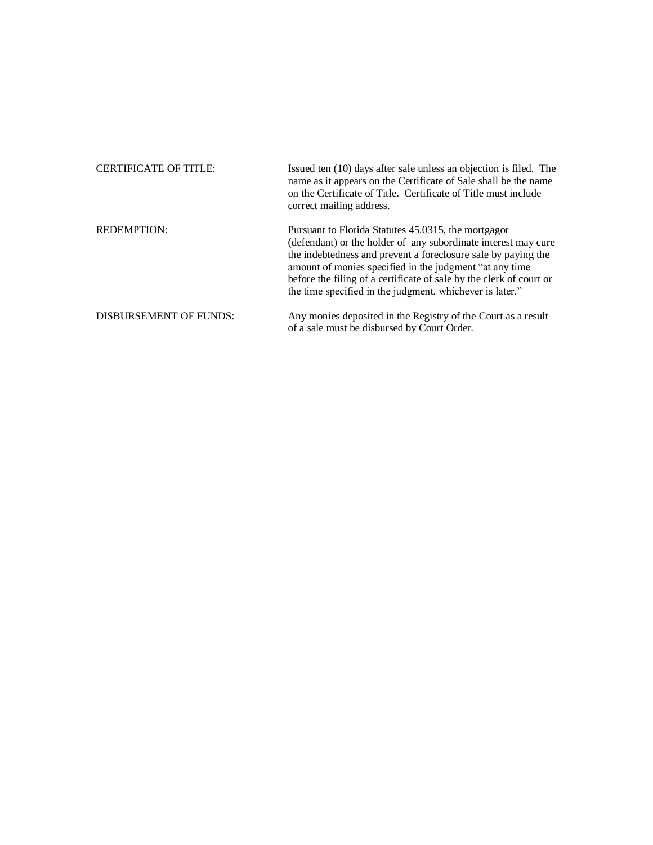| <b>CERTIFICATE OF TITLE:</b>  | Issued ten (10) days after sale unless an objection is filed. The<br>name as it appears on the Certificate of Sale shall be the name<br>on the Certificate of Title. Certificate of Title must include<br>correct mailing address.                                                                                                                                                    |
|-------------------------------|---------------------------------------------------------------------------------------------------------------------------------------------------------------------------------------------------------------------------------------------------------------------------------------------------------------------------------------------------------------------------------------|
| <b>REDEMPTION:</b>            | Pursuant to Florida Statutes 45.0315, the mortgagor<br>(defendant) or the holder of any subordinate interest may cure<br>the indebtedness and prevent a foreclosure sale by paying the<br>amount of monies specified in the judgment "at any time"<br>before the filing of a certificate of sale by the clerk of court or<br>the time specified in the judgment, whichever is later." |
| <b>DISBURSEMENT OF FUNDS:</b> | Any monies deposited in the Registry of the Court as a result<br>of a sale must be disbursed by Court Order.                                                                                                                                                                                                                                                                          |